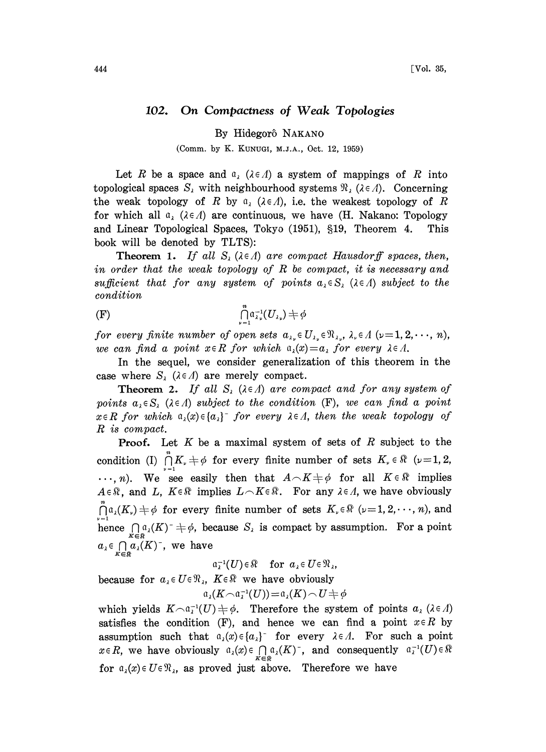## 102. On Compactness of Weak Topologies

By Hidegorô NAKANO

(Comm. by K. KUNUGI, M.J.A., Oct. 12, 1959)

Let R be a space and  $a_{\lambda}$  ( $\lambda \in \Lambda$ ) a system of mappings of R into topological spaces  $S_{\lambda}$  with neighbourhood systems  $\mathcal{R}_{\lambda}$  ( $\lambda \in \Lambda$ ). Concerning the weak topology of R by  $a_i$  ( $\lambda \in \Lambda$ ), i.e. the weakest topology of R for which all  $a_i$  ( $\lambda \in \Lambda$ ) are continuous, we have (H. Nakano: Topology and Linear Topological Spaces, Tokyo (1951), §19, Theorem 4. This book will be denoted by TLTS):

**Theorem 1.** If all  $S_\lambda$  ( $\lambda \in \Lambda$ ) are compact Hausdorff spaces, then, in order that the weak topology of  $R$  be compact, it is necessary and sufficient that for any system of points  $a_{\lambda} \in S_{\lambda}$  ( $\lambda \in \Lambda$ ) subject to the condition

(F) 
$$
\bigcap_{\nu=1}^n a_{\lambda\nu}^{-1}(U_{\lambda\nu}) \neq \phi
$$

for every finite number of open sets  $a_{\lambda_{\nu}} \in U_{\lambda_{\nu}} \in \mathfrak{N}_{\lambda_{\nu}}, \lambda_{\nu} \in \Lambda \ (\nu=1, 2, \dots, n),$ we can find a point  $x \in R$  for which  $a_{\lambda}(x)=a_{\lambda}$  for every  $\lambda \in \Lambda$ .

In the sequel, we consider generalization of this theorem in the case where  $S_{\lambda}$  ( $\lambda \in \Lambda$ ) are merely compact.

**Theorem 2.** If all  $S_\lambda$  ( $\lambda \in \Lambda$ ) are compact and for any system of points  $a_{\lambda} \in S_{\lambda}$  ( $\lambda \in \Lambda$ ) subject to the condition (F), we can find a point  $x \in R$  for which  $a_{\lambda}(x) \in \{a_{\lambda}\}$  for every  $\lambda \in A$ , then the weak topology of R is compact.

**Proof.** Let  $K$  be a maximal system of sets of  $R$  subject to the **Proof.** Let K be a maximal system of sets of R subject to the condition (I)  $\bigcap_{\nu=1}^{n} K_{\nu} \neq \emptyset$  for every finite number of sets  $K_{\nu} \in \mathbb{R}$  ( $\nu=1, 2$ , ondition (I)  $\bigcap_{\nu=1}^{\infty} K_{\nu} \neq \phi$  for every finite number of sets  $K_{\nu} \in \mathbb{R}$  ( $\nu=1,2,\dots,n$ ). We see easily then that  $A \cap K \neq \phi$  for all  $K \in \mathbb{R}$  implies  $C \otimes \text{ and } L$ .  $K \in \mathbb{R}$  implies  $L \cap K \in \mathbb{R}$ . For  $A \in \mathbb{R}$ , and L,  $K \in \mathbb{R}$  implies  $L \cap K \in \mathbb{R}$ . For any  $\lambda \in \Lambda$ , we have obviously  $\bigcap_{i=1}^{n} \alpha_{i}(K_{\nu}) \neq \emptyset$  for every finite number of sets  $K_{\nu} \in \mathbb{R}$  ( $\nu=1,2,\dots,n$ ), and hence  $\bigcap_{K\in\mathbb{R}} \alpha_{\lambda}(K)^{-} \neq \emptyset$ , because  $S_{\lambda}$  is compact by assumption. For a point  $a_{\lambda} \in \bigcap_{K \in \mathfrak{F}} a_{\lambda}(K)^{\dagger}$ , we have

$$
\mathfrak{a}_{\lambda}^{-1}(U)\in\mathfrak{K}\quad\text{ for }\;a_{\lambda}\in U\!\in\!\mathfrak{N}_{\lambda},
$$

because for  $a_{\lambda} \in U \in \mathfrak{N}_{\lambda}$ ,  $K \in \mathfrak{N}$  we have obviously

$$
\mathfrak{a}_\mathfrak{z}(K \!\smallfrown\!\mathfrak{a}_\mathfrak{z}^{-1}(U))\!=\!\mathfrak{a}_\mathfrak{z}(K)\!\smallfrown\!U\!\dotplus\phi
$$

which yields  $K \cap a_{\lambda}^{-1}(U) \neq \emptyset$ . Therefore the system of points  $a_{\lambda}$  ( $\lambda \in \Lambda$ ) satisfies the condition (F), and hence we can find a point  $x \in R$  by assumption such that  $a_{\lambda}(x) \in \{a_{\lambda}\}$  for every  $\lambda \in \Lambda$ . For such a point  $x \in R$ , we have obviously  $a_{\lambda}(x) \in \bigcap_{K \in \mathbb{R}^n} a_{\lambda}(K)^-$ , and consequently for  $a_{\lambda}(x) \in U \in \mathcal{R}_{\lambda}$ , as proved just above. Therefore we have